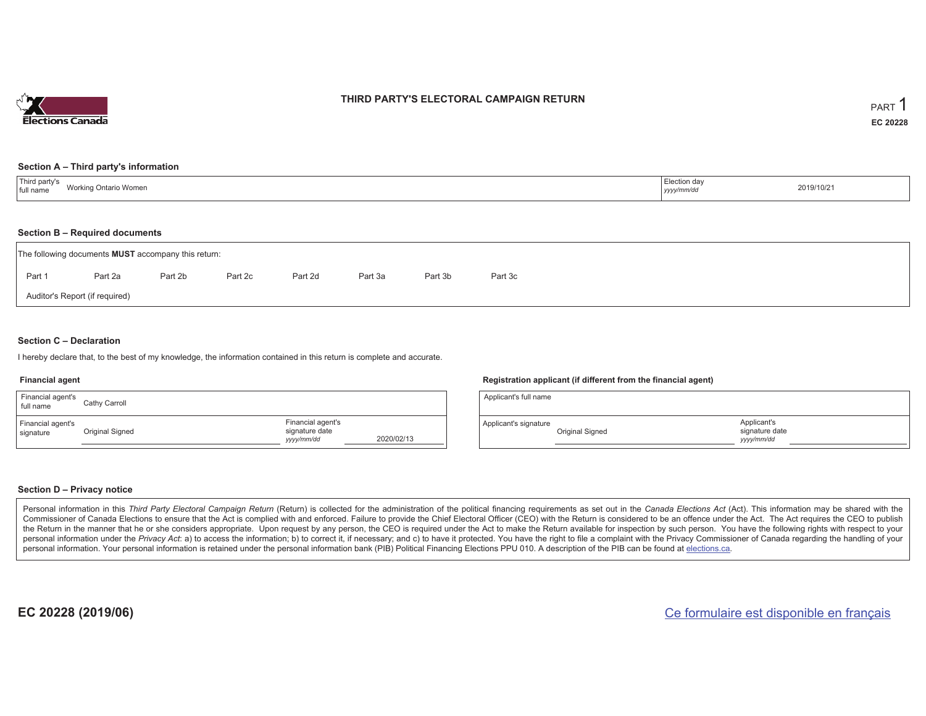

### **THIRD PARTY'S ELECTORAL CAMPAIGN RETURN**

#### **Section A – Third party's information**

#### **Section B – Required documents**

| The following documents <b>MUST</b> accompany this return: |         |         |         |         |         |         |         |  |  |  |  |
|------------------------------------------------------------|---------|---------|---------|---------|---------|---------|---------|--|--|--|--|
| Part 1                                                     | Part 2a | Part 2b | Part 2c | Part 2d | Part 3a | Part 3b | Part 3c |  |  |  |  |
| Auditor's Report (if required)                             |         |         |         |         |         |         |         |  |  |  |  |

#### **Section C – Declaration**

I hereby declare that, to the best of my knowledge, the information contained in this return is complete and accurate.

#### **Financial agent**

| Financial agent's<br>full name | Cathy Carroll   |                                                   |            |
|--------------------------------|-----------------|---------------------------------------------------|------------|
| Financial agent's<br>signature | Original Signed | Financial agent's<br>signature date<br>yyyy/mm/dd | 2020/02/13 |

#### **Registration applicant (if different from the financial agent)**

| Applicant's full name |                 |                                             |  |
|-----------------------|-----------------|---------------------------------------------|--|
| Applicant's signature | Original Signed | Applicant's<br>signature date<br>vyyy/mm/dd |  |

#### **Section D – Privacy notice**

Personal information in this Third Party Electoral Campaign Return (Return) is collected for the administration of the political financing requirements as set out in the Canada Elections Act (Act). This information may be Commissioner of Canada Elections to ensure that the Act is complied with and enforced. Failure to provide the Chief Electoral Officer (CEO) with the Return is considered to be an offence under the Act. The Act requires the the Return in the manner that he or she considers appropriate. Upon request by any person, the CEO is required under the Act to make the Return available for inspection by such person. You have the following rights with re personal information under the Privacy Act: a) to access the information; b) to correct it, if necessary; and c) to have it protected. You have the right to file a complaint with the Privacy Commissioner of Canada regardin personal information. Your personal information is retained under the personal information bank (PIB) Political Financing Elections PPU 010. A description of the PIB can be found at elections.ca.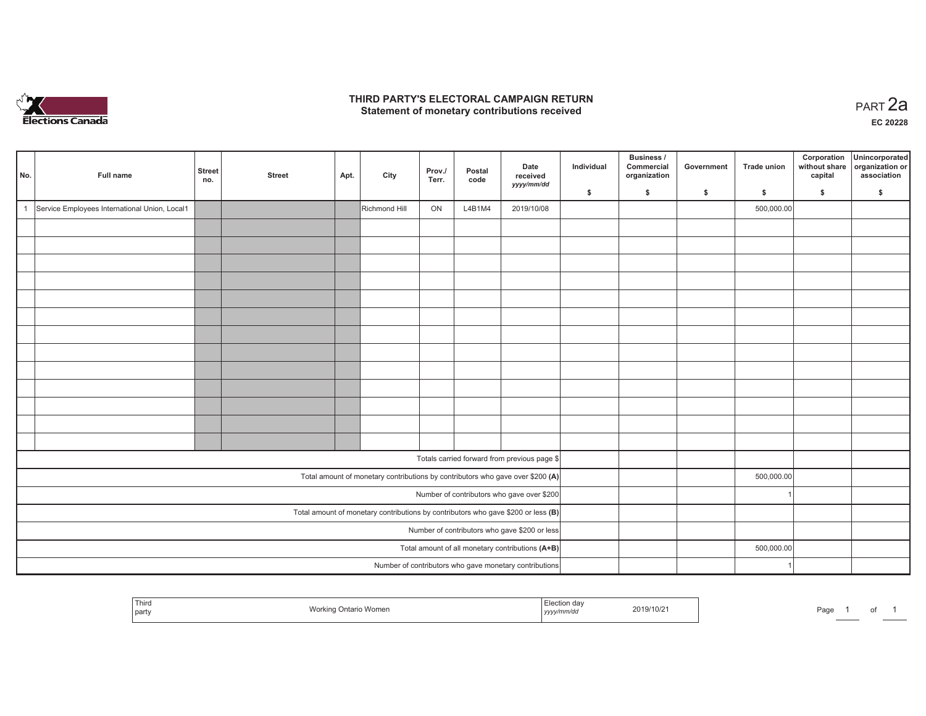

## **THIRD PARTY'S ELECTORAL CAMPAIGN RETURN HIRD PARTY'S ELECTORAL CAMPAIGN RETURN<br>Statement of monetary contributions received PART 2a**

**EC 20228**

| No.                                              | Full name                                     | <b>Street</b><br>no. | <b>Street</b> | Apt. | City          | Prov./<br>Terr. | Postal<br>code | Date<br>received<br>yyyy/mm/dd                                                    | Individual<br>\$ | <b>Business /</b><br>Commercial<br>organization<br>\$ | Government<br>\$ | <b>Trade union</b><br>\$ | Corporation<br>without share<br>capital<br>\$ | Unincorporated<br>organization or<br>association<br>\$ |
|--------------------------------------------------|-----------------------------------------------|----------------------|---------------|------|---------------|-----------------|----------------|-----------------------------------------------------------------------------------|------------------|-------------------------------------------------------|------------------|--------------------------|-----------------------------------------------|--------------------------------------------------------|
| $\overline{1}$                                   | Service Employees International Union, Local1 |                      |               |      | Richmond Hill | ON              | L4B1M4         | 2019/10/08                                                                        |                  |                                                       |                  | 500,000.00               |                                               |                                                        |
|                                                  |                                               |                      |               |      |               |                 |                |                                                                                   |                  |                                                       |                  |                          |                                               |                                                        |
|                                                  |                                               |                      |               |      |               |                 |                |                                                                                   |                  |                                                       |                  |                          |                                               |                                                        |
|                                                  |                                               |                      |               |      |               |                 |                |                                                                                   |                  |                                                       |                  |                          |                                               |                                                        |
|                                                  |                                               |                      |               |      |               |                 |                |                                                                                   |                  |                                                       |                  |                          |                                               |                                                        |
|                                                  |                                               |                      |               |      |               |                 |                |                                                                                   |                  |                                                       |                  |                          |                                               |                                                        |
|                                                  |                                               |                      |               |      |               |                 |                |                                                                                   |                  |                                                       |                  |                          |                                               |                                                        |
|                                                  |                                               |                      |               |      |               |                 |                |                                                                                   |                  |                                                       |                  |                          |                                               |                                                        |
|                                                  |                                               |                      |               |      |               |                 |                |                                                                                   |                  |                                                       |                  |                          |                                               |                                                        |
|                                                  |                                               |                      |               |      |               |                 |                |                                                                                   |                  |                                                       |                  |                          |                                               |                                                        |
|                                                  |                                               |                      |               |      |               |                 |                |                                                                                   |                  |                                                       |                  |                          |                                               |                                                        |
|                                                  |                                               |                      |               |      |               |                 |                |                                                                                   |                  |                                                       |                  |                          |                                               |                                                        |
|                                                  |                                               |                      |               |      |               |                 |                |                                                                                   |                  |                                                       |                  |                          |                                               |                                                        |
|                                                  |                                               |                      |               |      |               |                 |                |                                                                                   |                  |                                                       |                  |                          |                                               |                                                        |
|                                                  |                                               |                      |               |      |               |                 |                |                                                                                   |                  |                                                       |                  |                          |                                               |                                                        |
|                                                  |                                               |                      |               |      |               |                 |                | Totals carried forward from previous page \$                                      |                  |                                                       |                  |                          |                                               |                                                        |
|                                                  |                                               |                      |               |      |               |                 |                | Total amount of monetary contributions by contributors who gave over \$200 (A)    |                  |                                                       |                  | 500,000.00               |                                               |                                                        |
|                                                  |                                               |                      |               |      |               |                 |                | Number of contributors who gave over \$200                                        |                  |                                                       |                  |                          |                                               |                                                        |
|                                                  |                                               |                      |               |      |               |                 |                | Total amount of monetary contributions by contributors who gave \$200 or less (B) |                  |                                                       |                  |                          |                                               |                                                        |
| Number of contributors who gave \$200 or less    |                                               |                      |               |      |               |                 |                |                                                                                   |                  |                                                       |                  |                          |                                               |                                                        |
| Total amount of all monetary contributions (A+B) |                                               |                      |               |      |               |                 |                |                                                                                   |                  |                                                       |                  | 500,000.00               |                                               |                                                        |
|                                                  |                                               |                      |               |      |               |                 |                | Number of contributors who gave monetary contributions                            |                  |                                                       |                  |                          |                                               |                                                        |

| Third<br><b>VVLII</b><br>na<br>party | .019/10/2<br>. | ∤aαe |
|--------------------------------------|----------------|------|
|--------------------------------------|----------------|------|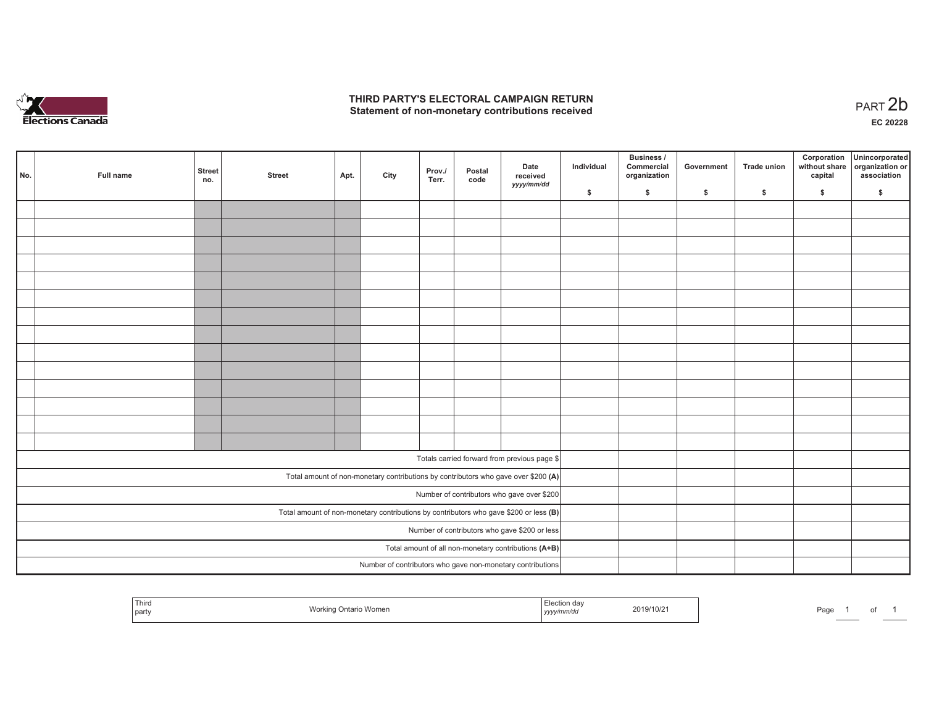

## **THIRD PARTY'S ELECTORAL CAMPAIGN RETURN**  THIRD PARTY'S ELECTORAL CAMPAIGN RETURN<br>Statement of non-monetary contributions received<br> **PART 2b**

| No. | Full name | <b>Street</b><br>no. | <b>Street</b> | Apt. | City | Prov./<br>Terr. | Postal<br>code | Date<br>received<br>yyyy/mm/dd                                                          | Individual | <b>Business /</b><br>Commercial<br>organization | Government   | Trade union  | Corporation<br>capital | Unincorporated<br>without share organization or<br>association |
|-----|-----------|----------------------|---------------|------|------|-----------------|----------------|-----------------------------------------------------------------------------------------|------------|-------------------------------------------------|--------------|--------------|------------------------|----------------------------------------------------------------|
|     |           |                      |               |      |      |                 |                |                                                                                         | \$         | \$                                              | $\mathsf{s}$ | $\mathbf{s}$ | \$                     | \$                                                             |
|     |           |                      |               |      |      |                 |                |                                                                                         |            |                                                 |              |              |                        |                                                                |
|     |           |                      |               |      |      |                 |                |                                                                                         |            |                                                 |              |              |                        |                                                                |
|     |           |                      |               |      |      |                 |                |                                                                                         |            |                                                 |              |              |                        |                                                                |
|     |           |                      |               |      |      |                 |                |                                                                                         |            |                                                 |              |              |                        |                                                                |
|     |           |                      |               |      |      |                 |                |                                                                                         |            |                                                 |              |              |                        |                                                                |
|     |           |                      |               |      |      |                 |                |                                                                                         |            |                                                 |              |              |                        |                                                                |
|     |           |                      |               |      |      |                 |                |                                                                                         |            |                                                 |              |              |                        |                                                                |
|     |           |                      |               |      |      |                 |                |                                                                                         |            |                                                 |              |              |                        |                                                                |
|     |           |                      |               |      |      |                 |                |                                                                                         |            |                                                 |              |              |                        |                                                                |
|     |           |                      |               |      |      |                 |                |                                                                                         |            |                                                 |              |              |                        |                                                                |
|     |           |                      |               |      |      |                 |                |                                                                                         |            |                                                 |              |              |                        |                                                                |
|     |           |                      |               |      |      |                 |                |                                                                                         |            |                                                 |              |              |                        |                                                                |
|     |           |                      |               |      |      |                 |                |                                                                                         |            |                                                 |              |              |                        |                                                                |
|     |           |                      |               |      |      |                 |                |                                                                                         |            |                                                 |              |              |                        |                                                                |
|     |           |                      |               |      |      |                 |                |                                                                                         |            |                                                 |              |              |                        |                                                                |
|     |           |                      |               |      |      |                 |                | Totals carried forward from previous page \$                                            |            |                                                 |              |              |                        |                                                                |
|     |           |                      |               |      |      |                 |                | Total amount of non-monetary contributions by contributors who gave over \$200 (A)      |            |                                                 |              |              |                        |                                                                |
|     |           |                      |               |      |      |                 |                | Number of contributors who gave over \$200                                              |            |                                                 |              |              |                        |                                                                |
|     |           |                      |               |      |      |                 |                | Total amount of non-monetary contributions by contributors who gave \$200 or less $(B)$ |            |                                                 |              |              |                        |                                                                |
|     |           |                      |               |      |      |                 |                | Number of contributors who gave \$200 or less                                           |            |                                                 |              |              |                        |                                                                |
|     |           |                      |               |      |      |                 |                | Total amount of all non-monetary contributions (A+B)                                    |            |                                                 |              |              |                        |                                                                |
|     |           |                      |               |      |      |                 |                | Number of contributors who gave non-monetary contributions                              |            |                                                 |              |              |                        |                                                                |

| $\sim$ $-$<br>' I nira<br>  party | MAIA<br>Ontario Women<br>rkin | Election day<br>y/mm/dd<br>17.777<br>, , , , , , , , | 2019/10/21<br>. | n- |
|-----------------------------------|-------------------------------|------------------------------------------------------|-----------------|----|
|-----------------------------------|-------------------------------|------------------------------------------------------|-----------------|----|

age 1 of 1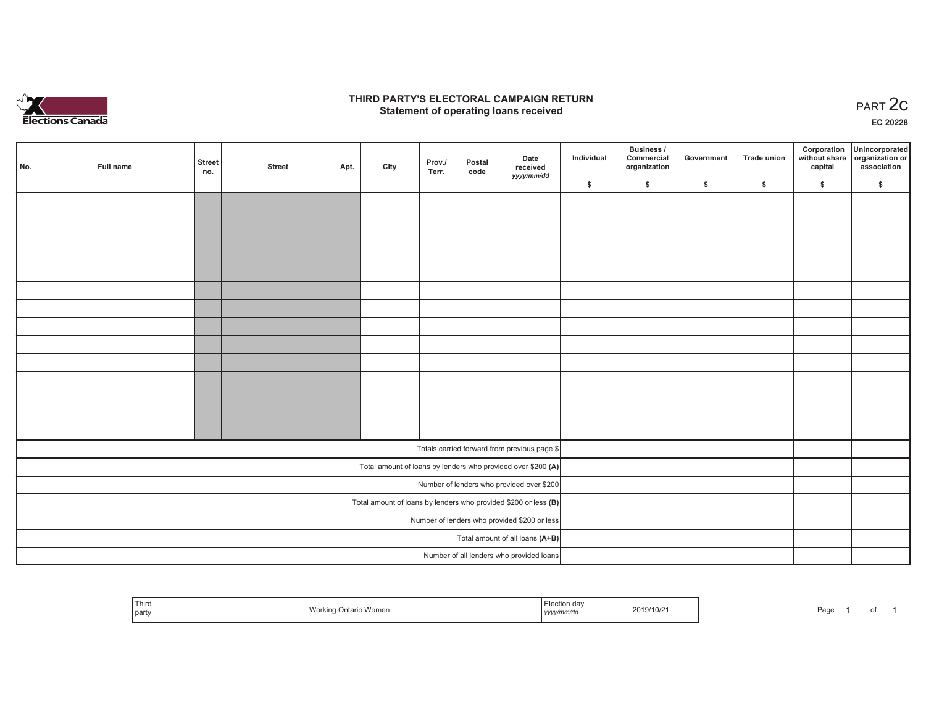

### **THIRD PARTY'S ELECTORAL CAMPAIGN RETURN STATE:** PARTY'S ELECTORAL CAMPAIGN RETURN<br>
Statement of operating loans received

**EC 20228**

| No. | Full name | <b>Street</b><br>no. | <b>Street</b> | Apt. | City | Prov./<br>Terr. | Postal<br>code | Date<br>received<br>yyyy/mm/dd                                    | Individual | <b>Business /</b><br>Commercial<br>organization | Government | Trade union  | Corporation<br>capital | Unincorporated<br>without share organization or<br>association |
|-----|-----------|----------------------|---------------|------|------|-----------------|----------------|-------------------------------------------------------------------|------------|-------------------------------------------------|------------|--------------|------------------------|----------------------------------------------------------------|
|     |           |                      |               |      |      |                 |                |                                                                   | \$         | \$                                              | \$         | $\mathbf{s}$ | \$                     | \$                                                             |
|     |           |                      |               |      |      |                 |                |                                                                   |            |                                                 |            |              |                        |                                                                |
|     |           |                      |               |      |      |                 |                |                                                                   |            |                                                 |            |              |                        |                                                                |
|     |           |                      |               |      |      |                 |                |                                                                   |            |                                                 |            |              |                        |                                                                |
|     |           |                      |               |      |      |                 |                |                                                                   |            |                                                 |            |              |                        |                                                                |
|     |           |                      |               |      |      |                 |                |                                                                   |            |                                                 |            |              |                        |                                                                |
|     |           |                      |               |      |      |                 |                |                                                                   |            |                                                 |            |              |                        |                                                                |
|     |           |                      |               |      |      |                 |                |                                                                   |            |                                                 |            |              |                        |                                                                |
|     |           |                      |               |      |      |                 |                |                                                                   |            |                                                 |            |              |                        |                                                                |
|     |           |                      |               |      |      |                 |                |                                                                   |            |                                                 |            |              |                        |                                                                |
|     |           |                      |               |      |      |                 |                |                                                                   |            |                                                 |            |              |                        |                                                                |
|     |           |                      |               |      |      |                 |                |                                                                   |            |                                                 |            |              |                        |                                                                |
|     |           |                      |               |      |      |                 |                |                                                                   |            |                                                 |            |              |                        |                                                                |
|     |           |                      |               |      |      |                 |                |                                                                   |            |                                                 |            |              |                        |                                                                |
|     |           |                      |               |      |      |                 |                |                                                                   |            |                                                 |            |              |                        |                                                                |
|     |           |                      |               |      |      |                 |                | Totals carried forward from previous page \$                      |            |                                                 |            |              |                        |                                                                |
|     |           |                      |               |      |      |                 |                | Total amount of loans by lenders who provided over \$200 (A)      |            |                                                 |            |              |                        |                                                                |
|     |           |                      |               |      |      |                 |                | Number of lenders who provided over \$200                         |            |                                                 |            |              |                        |                                                                |
|     |           |                      |               |      |      |                 |                | Total amount of loans by lenders who provided \$200 or less $(B)$ |            |                                                 |            |              |                        |                                                                |
|     |           |                      |               |      |      |                 |                | Number of lenders who provided \$200 or less                      |            |                                                 |            |              |                        |                                                                |
|     |           |                      |               |      |      |                 |                | Total amount of all loans (A+B)                                   |            |                                                 |            |              |                        |                                                                |
|     |           |                      |               |      |      |                 |                | Number of all lenders who provided loans                          |            |                                                 |            |              |                        |                                                                |

| Third<br>part | Work<br>Ontario Women | . Election de:<br>------------<br>$11111$ u<br>,,,,, | 9/10/21 | Page |  | υ |  |
|---------------|-----------------------|------------------------------------------------------|---------|------|--|---|--|
|---------------|-----------------------|------------------------------------------------------|---------|------|--|---|--|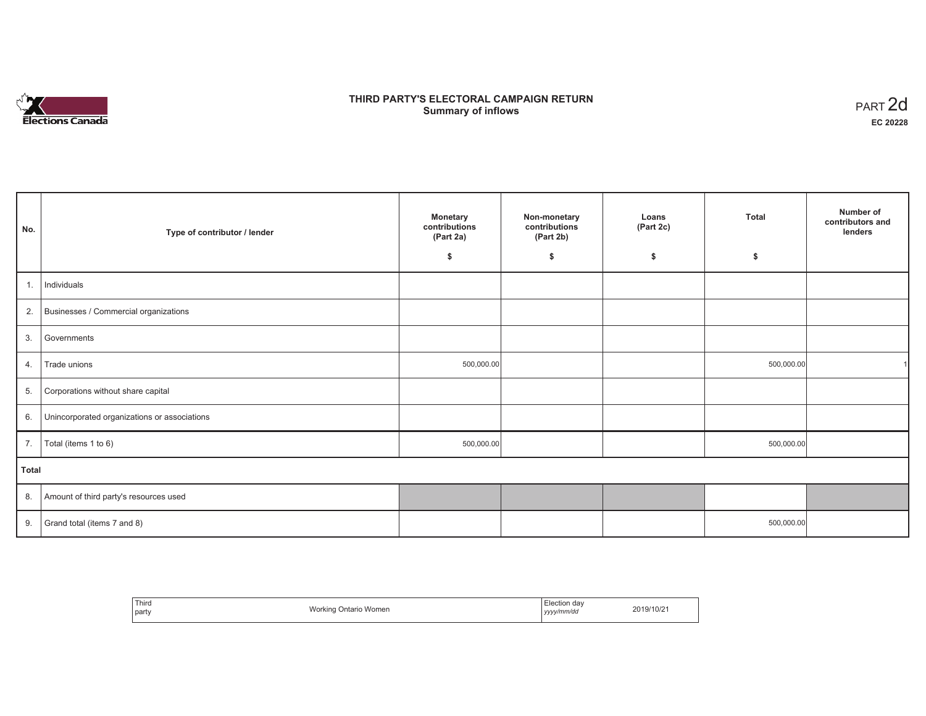# **Elections Canada**

# **THIRD PARTY'S ELECTORAL CAMPAIGN RETURN Summary of inflows**

| PART <sub>2d</sub> |
|--------------------|
| EC 20228           |

| No.   | Type of contributor / lender                 | <b>Monetary</b><br>contributions<br>(Part 2a) | Non-monetary<br>contributions<br>(Part 2b) | Loans<br>(Part 2c) | Total      | Number of<br>contributors and<br>lenders |
|-------|----------------------------------------------|-----------------------------------------------|--------------------------------------------|--------------------|------------|------------------------------------------|
|       |                                              | \$                                            | \$                                         | \$                 | \$         |                                          |
| 1.    | Individuals                                  |                                               |                                            |                    |            |                                          |
| 2.    | Businesses / Commercial organizations        |                                               |                                            |                    |            |                                          |
| 3.    | Governments                                  |                                               |                                            |                    |            |                                          |
| 4.    | Trade unions                                 | 500,000.00                                    |                                            |                    | 500,000.00 |                                          |
| 5.    | Corporations without share capital           |                                               |                                            |                    |            |                                          |
| 6.    | Unincorporated organizations or associations |                                               |                                            |                    |            |                                          |
| 7.    | Total (items 1 to 6)                         | 500,000.00                                    |                                            |                    | 500,000.00 |                                          |
| Total |                                              |                                               |                                            |                    |            |                                          |
| 8.    | Amount of third party's resources used       |                                               |                                            |                    |            |                                          |
| 9.    | Grand total (items 7 and 8)                  |                                               |                                            |                    | 500,000.00 |                                          |

| Third<br>part | Working<br>Ontario Women | Election dav<br>yyyy/mm/dd | 2019/10/21 |
|---------------|--------------------------|----------------------------|------------|
|---------------|--------------------------|----------------------------|------------|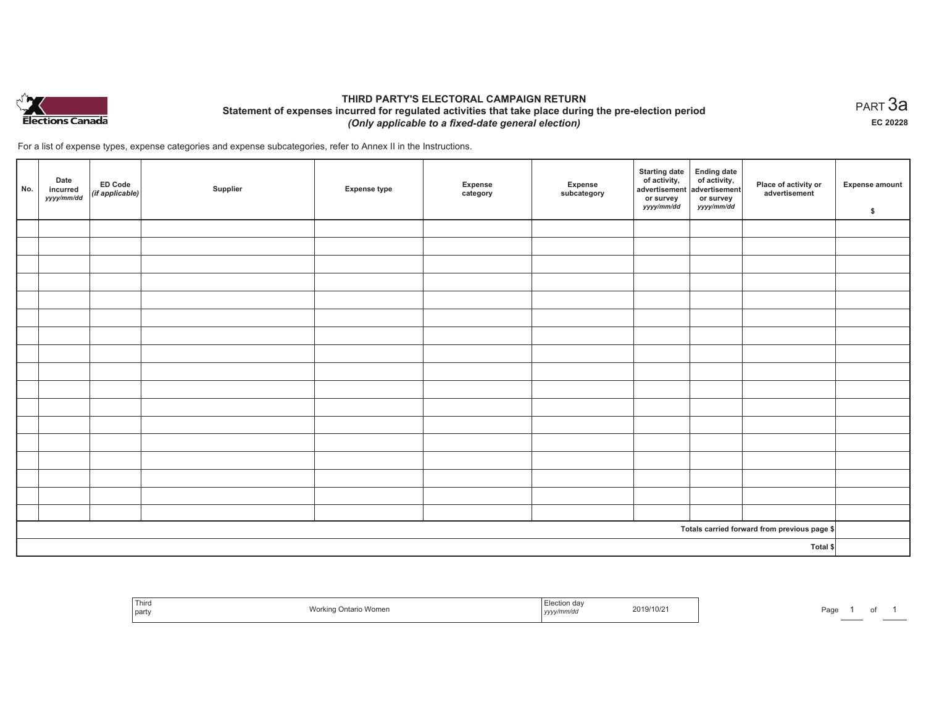

## **THIRD PARTY'S ELECTORAL CAMPAIGN RETURN Statement of expenses incurred for regulated activities that take place during the pre-election period**  *(Only applicable to a fixed-date general election)*

For a list of expense types, expense categories and expense subcategories, refer to Annex II in the Instructions.

| No. | Date<br>incurred<br>yyyy/mm/dd | <b>ED Code</b><br>$($ if applicable $)$ | Supplier | <b>Expense type</b> | Expense<br>category | Expense<br>subcategory | <b>Starting date</b><br>of activity,<br>advertisement<br>or survey<br>yyyy/mm/dd | Ending date<br>of activity,<br>advertisement<br>or survey<br>yyyy/mm/dd | Place of activity or<br>advertisement        | <b>Expense amount</b><br>\$ |
|-----|--------------------------------|-----------------------------------------|----------|---------------------|---------------------|------------------------|----------------------------------------------------------------------------------|-------------------------------------------------------------------------|----------------------------------------------|-----------------------------|
|     |                                |                                         |          |                     |                     |                        |                                                                                  |                                                                         |                                              |                             |
|     |                                |                                         |          |                     |                     |                        |                                                                                  |                                                                         |                                              |                             |
|     |                                |                                         |          |                     |                     |                        |                                                                                  |                                                                         |                                              |                             |
|     |                                |                                         |          |                     |                     |                        |                                                                                  |                                                                         |                                              |                             |
|     |                                |                                         |          |                     |                     |                        |                                                                                  |                                                                         |                                              |                             |
|     |                                |                                         |          |                     |                     |                        |                                                                                  |                                                                         |                                              |                             |
|     |                                |                                         |          |                     |                     |                        |                                                                                  |                                                                         |                                              |                             |
|     |                                |                                         |          |                     |                     |                        |                                                                                  |                                                                         |                                              |                             |
|     |                                |                                         |          |                     |                     |                        |                                                                                  |                                                                         |                                              |                             |
|     |                                |                                         |          |                     |                     |                        |                                                                                  |                                                                         |                                              |                             |
|     |                                |                                         |          |                     |                     |                        |                                                                                  |                                                                         |                                              |                             |
|     |                                |                                         |          |                     |                     |                        |                                                                                  |                                                                         |                                              |                             |
|     |                                |                                         |          |                     |                     |                        |                                                                                  |                                                                         |                                              |                             |
|     |                                |                                         |          |                     |                     |                        |                                                                                  |                                                                         |                                              |                             |
|     |                                |                                         |          |                     |                     |                        |                                                                                  |                                                                         |                                              |                             |
|     |                                |                                         |          |                     |                     |                        |                                                                                  |                                                                         |                                              |                             |
|     |                                |                                         |          |                     |                     |                        |                                                                                  |                                                                         |                                              |                             |
|     |                                |                                         |          |                     |                     |                        |                                                                                  |                                                                         | Totals carried forward from previous page \$ |                             |
|     |                                |                                         |          |                     |                     |                        |                                                                                  |                                                                         | Total \$                                     |                             |

| Third<br><b>STATISTICS</b><br>  party | Mork.<br>o Women<br>……urano <sup>…</sup><br>៸៴៴៲ | ⊧lection dav<br>2019/10/2<br>.<br>yyyy/mm/dd | Page |
|---------------------------------------|--------------------------------------------------|----------------------------------------------|------|
|---------------------------------------|--------------------------------------------------|----------------------------------------------|------|

 $_{\sf PART}$ 3a **EC 20228**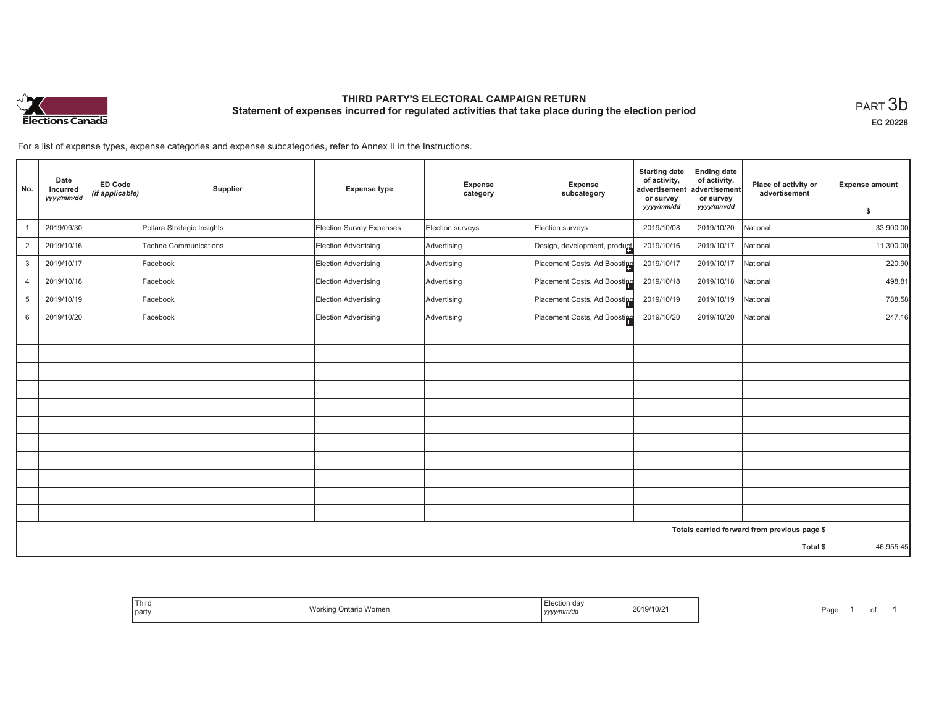

# **THIRD PARTY'S ELECTORAL CAMPAIGN RETURN Statement of expenses incurred for regulated activities that take place during the election period**<br>PART  $3\mathsf{b}$

**EC 20228**

For a list of expense types, expense categories and expense subcategories, refer to Annex II in the Instructions.

| No.            | Date<br>incurred<br>yyyy/mm/dd | <b>ED Code</b><br>(if applicable) | Supplier                     | <b>Expense type</b>             | Expense<br>category | Expense<br>subcategory       | <b>Starting date</b><br>of activity,<br>advertisement<br>or survey<br>yyyy/mm/dd | <b>Ending date</b><br>of activity,<br>advertisement<br>or survey<br>yyyy/mm/dd | Place of activity or<br>advertisement        | <b>Expense amount</b> |
|----------------|--------------------------------|-----------------------------------|------------------------------|---------------------------------|---------------------|------------------------------|----------------------------------------------------------------------------------|--------------------------------------------------------------------------------|----------------------------------------------|-----------------------|
|                |                                |                                   |                              |                                 |                     |                              |                                                                                  |                                                                                |                                              | \$                    |
|                | 2019/09/30                     |                                   | Pollara Strategic Insights   | <b>Election Survey Expenses</b> | Election surveys    | Election surveys             | 2019/10/08                                                                       | 2019/10/20                                                                     | National                                     | 33,900.00             |
| $\overline{2}$ | 2019/10/16                     |                                   | <b>Techne Communications</b> | Election Advertising            | Advertising         | Design, development, product | 2019/10/16                                                                       | 2019/10/17                                                                     | National                                     | 11,300.00             |
| 3              | 2019/10/17                     |                                   | Facebook                     | Election Advertising            | Advertising         | Placement Costs, Ad Boosting | 2019/10/17                                                                       | 2019/10/17                                                                     | National                                     | 220.90                |
| $\overline{4}$ | 2019/10/18                     |                                   | Facebook                     | Election Advertising            | Advertising         | Placement Costs, Ad Boosting | 2019/10/18                                                                       | 2019/10/18                                                                     | National                                     | 498.81                |
| 5              | 2019/10/19                     |                                   | Facebook                     | Election Advertising            | Advertising         | Placement Costs, Ad Boosting | 2019/10/19                                                                       | 2019/10/19                                                                     | National                                     | 788.58                |
| 6              | 2019/10/20                     |                                   | Facebook                     | Election Advertising            | Advertising         | Placement Costs, Ad Boosting | 2019/10/20                                                                       | 2019/10/20                                                                     | National                                     | 247.16                |
|                |                                |                                   |                              |                                 |                     |                              |                                                                                  |                                                                                |                                              |                       |
|                |                                |                                   |                              |                                 |                     |                              |                                                                                  |                                                                                |                                              |                       |
|                |                                |                                   |                              |                                 |                     |                              |                                                                                  |                                                                                |                                              |                       |
|                |                                |                                   |                              |                                 |                     |                              |                                                                                  |                                                                                |                                              |                       |
|                |                                |                                   |                              |                                 |                     |                              |                                                                                  |                                                                                |                                              |                       |
|                |                                |                                   |                              |                                 |                     |                              |                                                                                  |                                                                                |                                              |                       |
|                |                                |                                   |                              |                                 |                     |                              |                                                                                  |                                                                                |                                              |                       |
|                |                                |                                   |                              |                                 |                     |                              |                                                                                  |                                                                                |                                              |                       |
|                |                                |                                   |                              |                                 |                     |                              |                                                                                  |                                                                                |                                              |                       |
|                |                                |                                   |                              |                                 |                     |                              |                                                                                  |                                                                                |                                              |                       |
|                |                                |                                   |                              |                                 |                     |                              |                                                                                  |                                                                                |                                              |                       |
|                |                                |                                   |                              |                                 |                     |                              |                                                                                  |                                                                                | Totals carried forward from previous page \$ |                       |
|                |                                |                                   |                              |                                 |                     |                              |                                                                                  |                                                                                | Total \$                                     | 46,955.45             |

| lectio!<br>da<br>2019/10/21<br>$M_{\odot}$ r<br>inta<br>Womer<br>vvor<br>v/mm/ac<br>,,,,, |  |
|-------------------------------------------------------------------------------------------|--|
|-------------------------------------------------------------------------------------------|--|